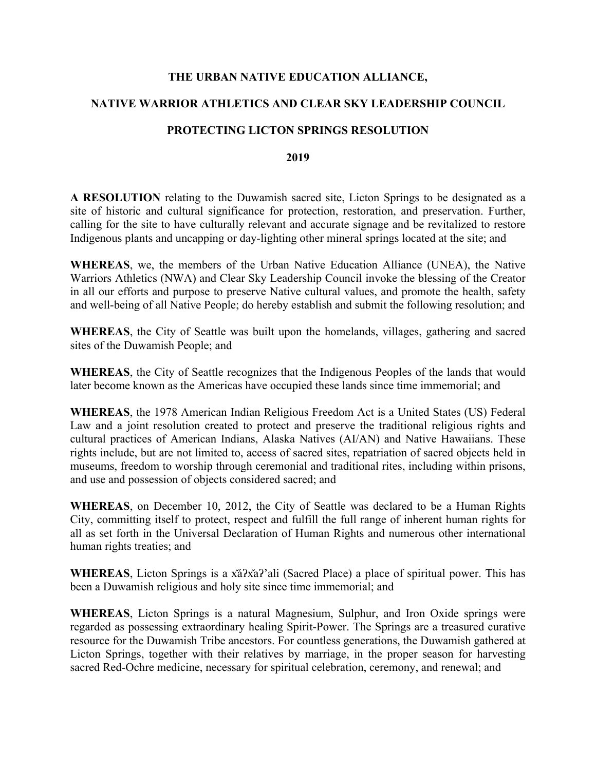### **THE URBAN NATIVE EDUCATION ALLIANCE,**

## **NATIVE WARRIOR ATHLETICS AND CLEAR SKY LEADERSHIP COUNCIL**

### **PROTECTING LICTON SPRINGS RESOLUTION**

#### **2019**

**A RESOLUTION** relating to the Duwamish sacred site, Licton Springs to be designated as a site of historic and cultural significance for protection, restoration, and preservation. Further, calling for the site to have culturally relevant and accurate signage and be revitalized to restore Indigenous plants and uncapping or day-lighting other mineral springs located at the site; and

**WHEREAS**, we, the members of the Urban Native Education Alliance (UNEA), the Native Warriors Athletics (NWA) and Clear Sky Leadership Council invoke the blessing of the Creator in all our efforts and purpose to preserve Native cultural values, and promote the health, safety and well-being of all Native People; do hereby establish and submit the following resolution; and

**WHEREAS**, the City of Seattle was built upon the homelands, villages, gathering and sacred sites of the Duwamish People; and

**WHEREAS**, the City of Seattle recognizes that the Indigenous Peoples of the lands that would later become known as the Americas have occupied these lands since time immemorial; and

**WHEREAS**, the 1978 American Indian Religious Freedom Act is a United States (US) Federal Law and a joint resolution created to protect and preserve the traditional religious rights and cultural practices of American Indians, Alaska Natives (AI/AN) and Native Hawaiians. These rights include, but are not limited to, access of sacred sites, repatriation of sacred objects held in museums, freedom to worship through ceremonial and traditional rites, including within prisons, and use and possession of objects considered sacred; and

**WHEREAS**, on December 10, 2012, the City of Seattle was declared to be a Human Rights City, committing itself to protect, respect and fulfill the full range of inherent human rights for all as set forth in the Universal Declaration of Human Rights and numerous other international human rights treaties; and

**WHEREAS**, Licton Springs is a x̌áʔx̌aʔ'ali (Sacred Place) a place of spiritual power. This has been a Duwamish religious and holy site since time immemorial; and

**WHEREAS**, Licton Springs is a natural Magnesium, Sulphur, and Iron Oxide springs were regarded as possessing extraordinary healing Spirit-Power. The Springs are a treasured curative resource for the Duwamish Tribe ancestors. For countless generations, the Duwamish gathered at Licton Springs, together with their relatives by marriage, in the proper season for harvesting sacred Red-Ochre medicine, necessary for spiritual celebration, ceremony, and renewal; and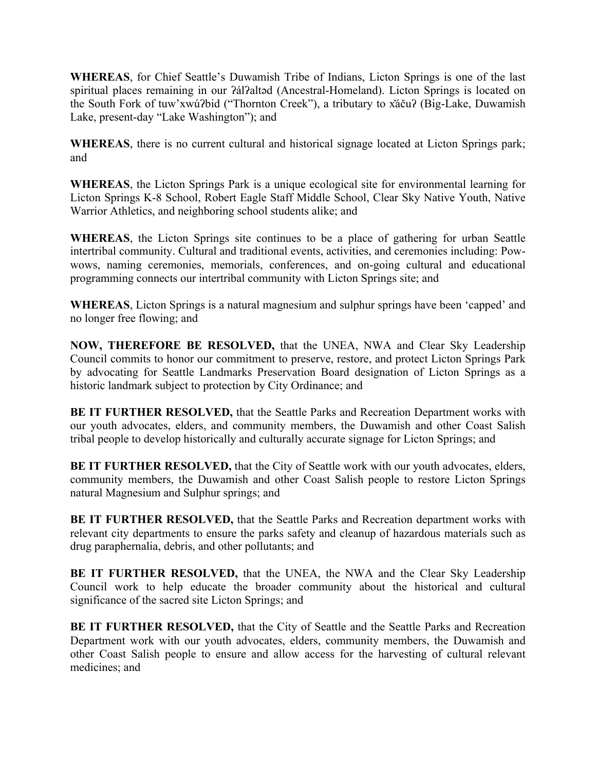**WHEREAS**, for Chief Seattle's Duwamish Tribe of Indians, Licton Springs is one of the last spiritual places remaining in our *?ál?altəd* (Ancestral-Homeland). Licton Springs is located on the South Fork of tuw'xwúʔbid ("Thornton Creek"), a tributary to x̌áčuʔ (Big-Lake, Duwamish Lake, present-day "Lake Washington"); and

**WHEREAS**, there is no current cultural and historical signage located at Licton Springs park; and

**WHEREAS**, the Licton Springs Park is a unique ecological site for environmental learning for Licton Springs K-8 School, Robert Eagle Staff Middle School, Clear Sky Native Youth, Native Warrior Athletics, and neighboring school students alike; and

**WHEREAS**, the Licton Springs site continues to be a place of gathering for urban Seattle intertribal community. Cultural and traditional events, activities, and ceremonies including: Powwows, naming ceremonies, memorials, conferences, and on-going cultural and educational programming connects our intertribal community with Licton Springs site; and

**WHEREAS**, Licton Springs is a natural magnesium and sulphur springs have been 'capped' and no longer free flowing; and

**NOW, THEREFORE BE RESOLVED,** that the UNEA, NWA and Clear Sky Leadership Council commits to honor our commitment to preserve, restore, and protect Licton Springs Park by advocating for Seattle Landmarks Preservation Board designation of Licton Springs as a historic landmark subject to protection by City Ordinance; and

**BE IT FURTHER RESOLVED,** that the Seattle Parks and Recreation Department works with our youth advocates, elders, and community members, the Duwamish and other Coast Salish tribal people to develop historically and culturally accurate signage for Licton Springs; and

**BE IT FURTHER RESOLVED, that the City of Seattle work with our youth advocates, elders,** community members, the Duwamish and other Coast Salish people to restore Licton Springs natural Magnesium and Sulphur springs; and

**BE IT FURTHER RESOLVED,** that the Seattle Parks and Recreation department works with relevant city departments to ensure the parks safety and cleanup of hazardous materials such as drug paraphernalia, debris, and other pollutants; and

**BE IT FURTHER RESOLVED,** that the UNEA, the NWA and the Clear Sky Leadership Council work to help educate the broader community about the historical and cultural significance of the sacred site Licton Springs; and

**BE IT FURTHER RESOLVED,** that the City of Seattle and the Seattle Parks and Recreation Department work with our youth advocates, elders, community members, the Duwamish and other Coast Salish people to ensure and allow access for the harvesting of cultural relevant medicines; and